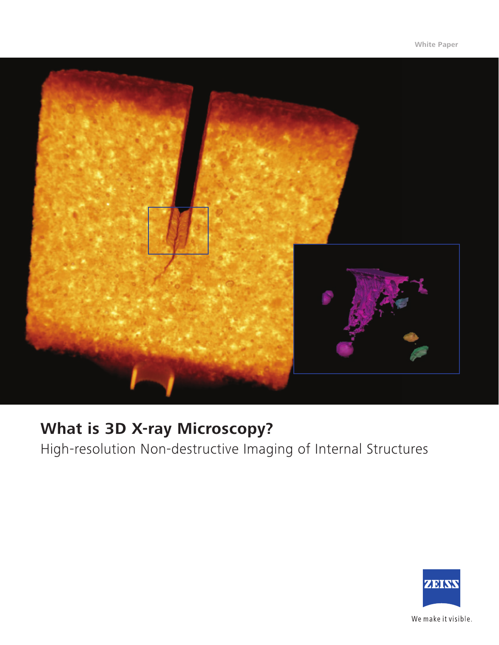

# **What is 3D X-ray Microscopy?**

High-resolution Non-destructive Imaging of Internal Structures

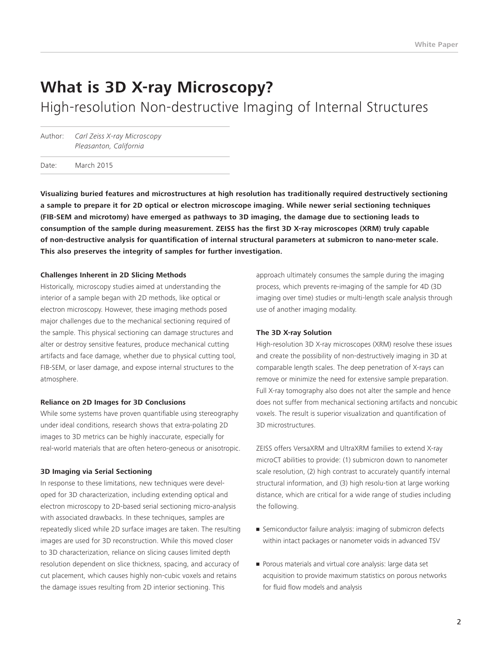## **What is 3D X-ray Microscopy?**

High-resolution Non-destructive Imaging of Internal Structures

Author: *Carl Zeiss X-ray Microscopy Pleasanton, California*

Date: March 2015

**Visualizing buried features and microstructures at high resolution has traditionally required destructively sectioning a sample to prepare it for 2D optical or electron microscope imaging. While newer serial sectioning techniques (FIB-SEM and microtomy) have emerged as pathways to 3D imaging, the damage due to sectioning leads to consumption of the sample during measurement. ZEISS has the first 3D X-ray microscopes (XRM) truly capable of non-destructive analysis for quantification of internal structural parameters at submicron to nano-meter scale. This also preserves the integrity of samples for further investigation.**

#### **Challenges Inherent in 2D Slicing Methods**

Historically, microscopy studies aimed at understanding the interior of a sample began with 2D methods, like optical or electron microscopy. However, these imaging methods posed major challenges due to the mechanical sectioning required of the sample. This physical sectioning can damage structures and alter or destroy sensitive features, produce mechanical cutting artifacts and face damage, whether due to physical cutting tool, FIB-SEM, or laser damage, and expose internal structures to the atmosphere.

#### **Reliance on 2D Images for 3D Conclusions**

While some systems have proven quantifiable using stereography under ideal conditions, research shows that extra-polating 2D images to 3D metrics can be highly inaccurate, especially for real-world materials that are often hetero-geneous or anisotropic.

#### **3D Imaging via Serial Sectioning**

In response to these limitations, new techniques were developed for 3D characterization, including extending optical and electron microscopy to 2D-based serial sectioning micro-analysis with associated drawbacks. In these techniques, samples are repeatedly sliced while 2D surface images are taken. The resulting images are used for 3D reconstruction. While this moved closer to 3D characterization, reliance on slicing causes limited depth resolution dependent on slice thickness, spacing, and accuracy of cut placement, which causes highly non-cubic voxels and retains the damage issues resulting from 2D interior sectioning. This

approach ultimately consumes the sample during the imaging process, which prevents re-imaging of the sample for 4D (3D imaging over time) studies or multi-length scale analysis through use of another imaging modality.

#### **The 3D X-ray Solution**

High-resolution 3D X-ray microscopes (XRM) resolve these issues and create the possibility of non-destructively imaging in 3D at comparable length scales. The deep penetration of X-rays can remove or minimize the need for extensive sample preparation. Full X-ray tomography also does not alter the sample and hence does not suffer from mechanical sectioning artifacts and noncubic voxels. The result is superior visualization and quantification of 3D microstructures.

ZEISS offers VersaXRM and UltraXRM families to extend X-ray microCT abilities to provide: (1) submicron down to nanometer scale resolution, (2) high contrast to accurately quantify internal structural information, and (3) high resolu-tion at large working distance, which are critical for a wide range of studies including the following.

- Semiconductor failure analysis: imaging of submicron defects within intact packages or nanometer voids in advanced TSV
- Porous materials and virtual core analysis: large data set acquisition to provide maximum statistics on porous networks for fluid flow models and analysis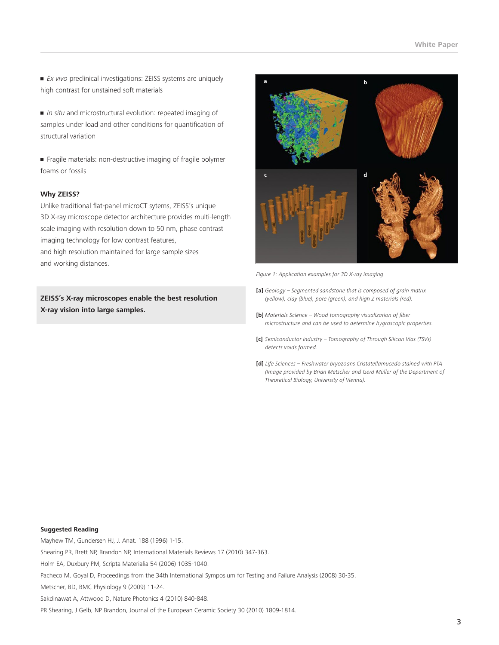• *Ex vivo* preclinical investigations: ZEISS systems are uniquely high contrast for unstained soft materials

• *In situ* and microstructural evolution: repeated imaging of samples under load and other conditions for quantification of structural variation

• Fragile materials: non-destructive imaging of fragile polymer foams or fossils

### **Why ZEISS?**

Unlike traditional flat-panel microCT sytems, ZEISS's unique 3D X-ray microscope detector architecture provides multi-length scale imaging with resolution down to 50 nm, phase contrast imaging technology for low contrast features, and high resolution maintained for large sample sizes and working distances.

**ZEISS's X-ray microscopes enable the best resolution X-ray vision into large samples.** 



*Figure 1: Application examples for 3D X-ray imaging* 

- **[a]** *Geology Segmented sandstone that is composed of grain matrix (yellow), clay (blue), pore (green), and high Z materials (red).*
- **[b]** *Materials Science Wood tomography visualization of fiber microstructure and can be used to determine hygroscopic properties.*
- **[c]** *Semiconductor industry Tomography of Through Silicon Vias (TSVs) detects voids formed.*
- **[d]** *Life Sciences Freshwater bryozoans Cristatellamucedo stained with PTA (Image provided by Brian Metscher and Gerd Müller of the Department of Theoretical Biology, University of Vienna).*

#### **Suggested Reading**

Mayhew TM, Gundersen HJ, J. Anat. 188 (1996) 1-15.

Shearing PR, Brett NP, Brandon NP, International Materials Reviews 17 (2010) 347-363.

Holm EA, Duxbury PM, Scripta Materialia 54 (2006) 1035-1040.

Pacheco M, Goyal D, Proceedings from the 34th International Symposium for Testing and Failure Analysis (2008) 30-35.

Metscher, BD, BMC Physiology 9 (2009) 11-24.

Sakdinawat A, Attwood D, Nature Photonics 4 (2010) 840-848.

PR Shearing, J Gelb, NP Brandon, Journal of the European Ceramic Society 30 (2010) 1809-1814.